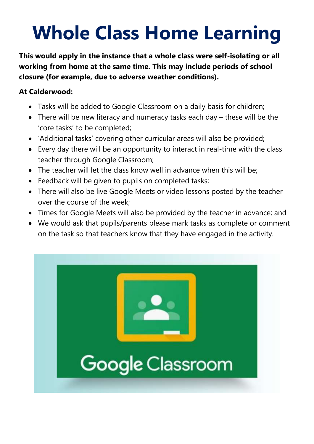## **Whole Class Home Learning**

**This would apply in the instance that a whole class were self-isolating or all working from home at the same time. This may include periods of school closure (for example, due to adverse weather conditions).** 

## **At Calderwood:**

- Tasks will be added to Google Classroom on a daily basis for children;
- There will be new literacy and numeracy tasks each day these will be the 'core tasks' to be completed;
- 'Additional tasks' covering other curricular areas will also be provided;
- Every day there will be an opportunity to interact in real-time with the class teacher through Google Classroom;
- The teacher will let the class know well in advance when this will be;
- Feedback will be given to pupils on completed tasks;
- There will also be live Google Meets or video lessons posted by the teacher over the course of the week;
- Times for Google Meets will also be provided by the teacher in advance; and
- We would ask that pupils/parents please mark tasks as complete or comment on the task so that teachers know that they have engaged in the activity.